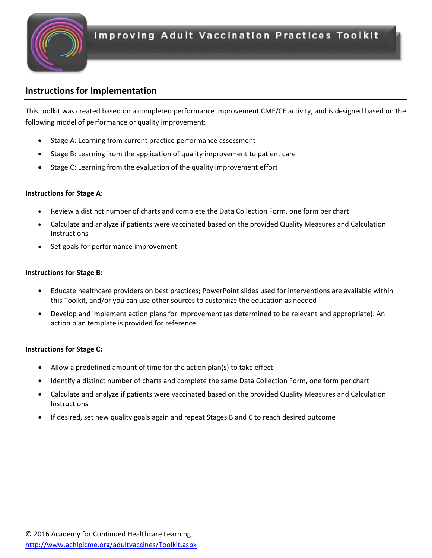

### **Instructions for Implementation**

This toolkit was created based on a completed performance improvement CME/CE activity, and is designed based on the following model of performance or quality improvement:

- Stage A: Learning from current practice performance assessment
- Stage B: Learning from the application of quality improvement to patient care
- Stage C: Learning from the evaluation of the quality improvement effort

### **Instructions for Stage A:**

- Review a distinct number of charts and complete the Data Collection Form, one form per chart
- Calculate and analyze if patients were vaccinated based on the provided Quality Measures and Calculation **Instructions**
- Set goals for performance improvement

### **Instructions for Stage B:**

- Educate healthcare providers on best practices; PowerPoint slides used for interventions are available within this Toolkit, and/or you can use other sources to customize the education as needed
- Develop and implement action plans for improvement (as determined to be relevant and appropriate). An action plan template is provided for reference.

### **Instructions for Stage C:**

- Allow a predefined amount of time for the action plan(s) to take effect
- Identify a distinct number of charts and complete the same Data Collection Form, one form per chart
- Calculate and analyze if patients were vaccinated based on the provided Quality Measures and Calculation **Instructions**
- If desired, set new quality goals again and repeat Stages B and C to reach desired outcome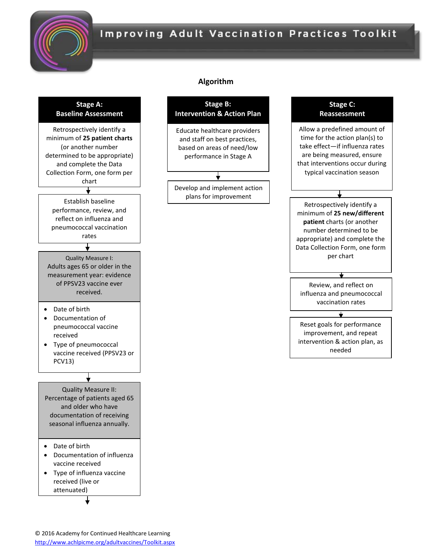

## **Improving Adult Vaccination Practices Toolkit**

#### **Stage A: Baseline Assessment**



### **Algorithm**



attenuated)